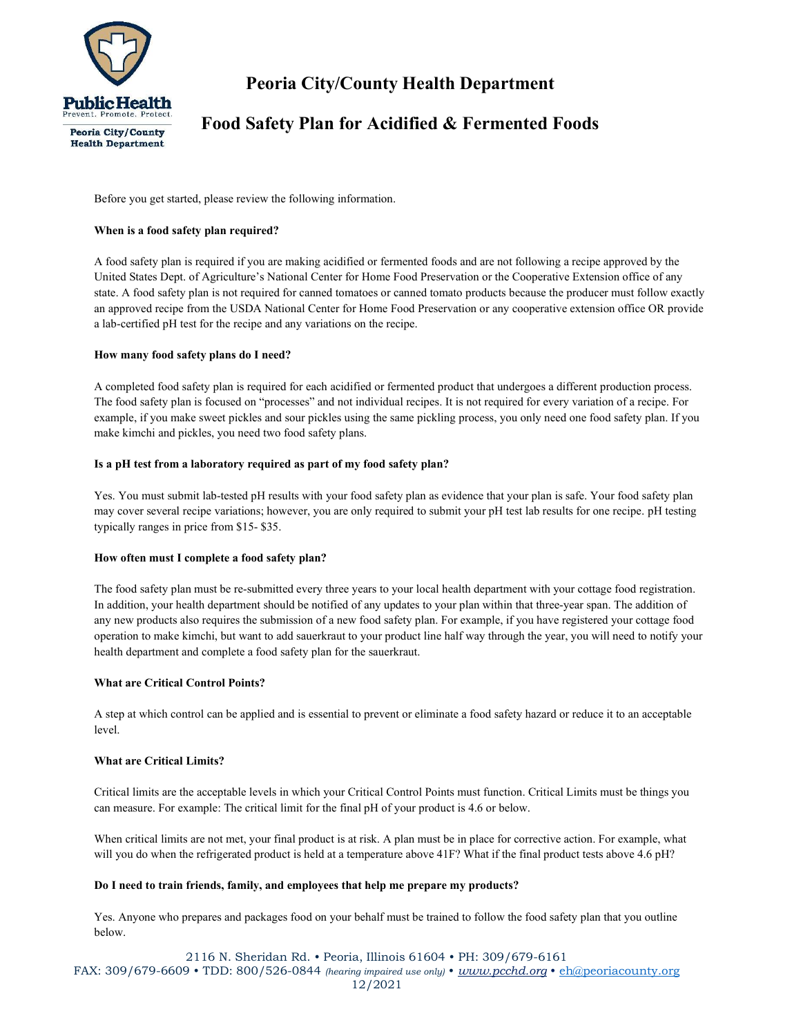

# Peoria City/County Health Department

# Food Safety Plan for Acidified & Fermented Foods

Before you get started, please review the following information.

## When is a food safety plan required?

A food safety plan is required if you are making acidified or fermented foods and are not following a recipe approved by the United States Dept. of Agriculture's National Center for Home Food Preservation or the Cooperative Extension office of any state. A food safety plan is not required for canned tomatoes or canned tomato products because the producer must follow exactly an approved recipe from the USDA National Center for Home Food Preservation or any cooperative extension office OR provide a lab-certified pH test for the recipe and any variations on the recipe.

#### How many food safety plans do I need?

A completed food safety plan is required for each acidified or fermented product that undergoes a different production process. The food safety plan is focused on "processes" and not individual recipes. It is not required for every variation of a recipe. For example, if you make sweet pickles and sour pickles using the same pickling process, you only need one food safety plan. If you make kimchi and pickles, you need two food safety plans.

#### Is a pH test from a laboratory required as part of my food safety plan?

Yes. You must submit lab-tested pH results with your food safety plan as evidence that your plan is safe. Your food safety plan may cover several recipe variations; however, you are only required to submit your pH test lab results for one recipe. pH testing typically ranges in price from \$15- \$35.

## How often must I complete a food safety plan?

The food safety plan must be re-submitted every three years to your local health department with your cottage food registration. In addition, your health department should be notified of any updates to your plan within that three-year span. The addition of any new products also requires the submission of a new food safety plan. For example, if you have registered your cottage food operation to make kimchi, but want to add sauerkraut to your product line half way through the year, you will need to notify your health department and complete a food safety plan for the sauerkraut.

## What are Critical Control Points?

A step at which control can be applied and is essential to prevent or eliminate a food safety hazard or reduce it to an acceptable level.

#### What are Critical Limits?

Critical limits are the acceptable levels in which your Critical Control Points must function. Critical Limits must be things you can measure. For example: The critical limit for the final pH of your product is 4.6 or below.

When critical limits are not met, your final product is at risk. A plan must be in place for corrective action. For example, what will you do when the refrigerated product is held at a temperature above 41F? What if the final product tests above 4.6 pH?

#### Do I need to train friends, family, and employees that help me prepare my products?

Yes. Anyone who prepares and packages food on your behalf must be trained to follow the food safety plan that you outline below.

2116 N. Sheridan Rd. • Peoria, Illinois 61604 • PH: 309/679-6161

FAX: 309/679-6609 • TDD: 800/526-0844 (hearing impaired use only) • www.pcchd.org • eh@peoriacounty.org 12/2021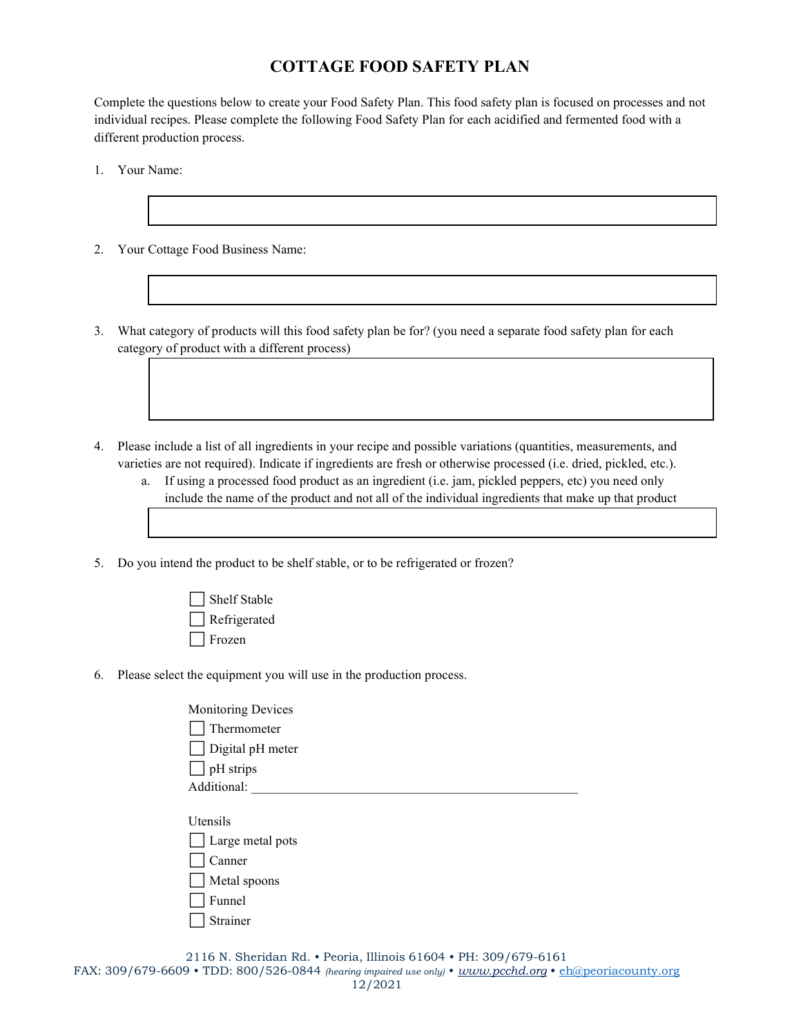# COTTAGE FOOD SAFETY PLAN

Complete the questions below to create your Food Safety Plan. This food safety plan is focused on processes and not individual recipes. Please complete the following Food Safety Plan for each acidified and fermented food with a different production process.

- 1. Your Name:
- 2. Your Cottage Food Business Name:
- 3. What category of products will this food safety plan be for? (you need a separate food safety plan for each category of product with a different process)
- 4. Please include a list of all ingredients in your recipe and possible variations (quantities, measurements, and varieties are not required). Indicate if ingredients are fresh or otherwise processed (i.e. dried, pickled, etc.).
	- a. If using a processed food product as an ingredient (i.e. jam, pickled peppers, etc) you need only include the name of the product and not all of the individual ingredients that make up that product
- 5. Do you intend the product to be shelf stable, or to be refrigerated or frozen?
	- □ Shelf Stable ⬜ Refrigerated ⬜ Frozen
- 6. Please select the equipment you will use in the production process.
	- Monitoring Devices ⬜ Thermometer  $\Box$  Digital pH meter  $\Box$  pH strips Additional:
	- Utensils
	- $\Box$  Large metal pots
	- ⬜ Canner  $\Box$  Metal spoons
	- $\Box$  Funnel
	- $\Box$  Strainer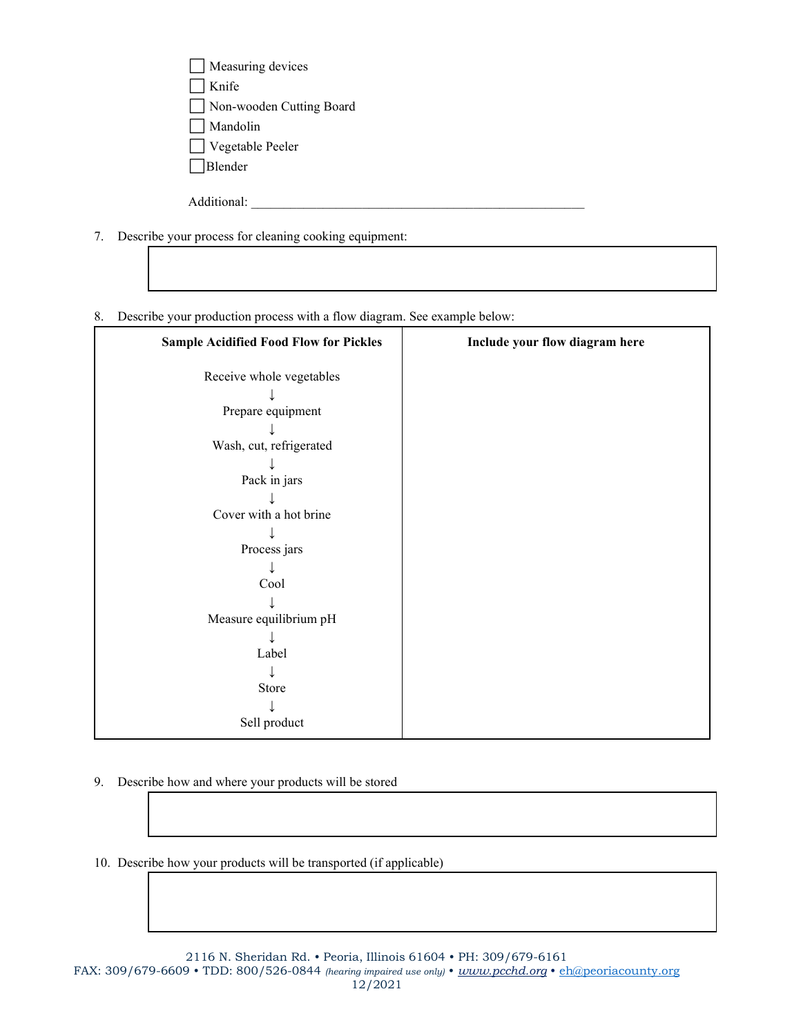| $\Box$ Measuring devices |
|--------------------------|
| $\Box$ Knife             |
| Non-wooden Cutting Board |
| Mandolin                 |
| $\Box$ Vegetable Peeler  |
| $\Box$ Blender           |
|                          |

Additional:

- 7. Describe your process for cleaning cooking equipment:
- 8. Describe your production process with a flow diagram. See example below:

| <b>Sample Acidified Food Flow for Pickles</b> | Include your flow diagram here |
|-----------------------------------------------|--------------------------------|
| Receive whole vegetables                      |                                |
| Prepare equipment                             |                                |
|                                               |                                |
| Wash, cut, refrigerated                       |                                |
| Pack in jars                                  |                                |
|                                               |                                |
| Cover with a hot brine                        |                                |
| Process jars                                  |                                |
|                                               |                                |
| Cool                                          |                                |
| Measure equilibrium pH                        |                                |
| Label                                         |                                |
|                                               |                                |
| Store                                         |                                |
| Sell product                                  |                                |

9. Describe how and where your products will be stored

10. Describe how your products will be transported (if applicable)